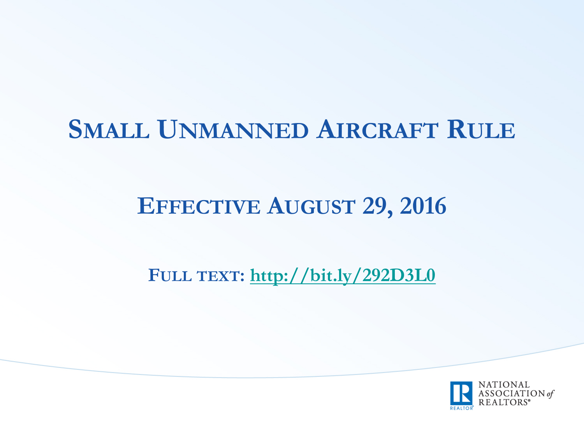## **SMALL UNMANNED AIRCRAFT RULE**

#### **EFFECTIVE AUGUST 29, 2016**

**FULL TEXT: http://bit.ly/292D3L0**

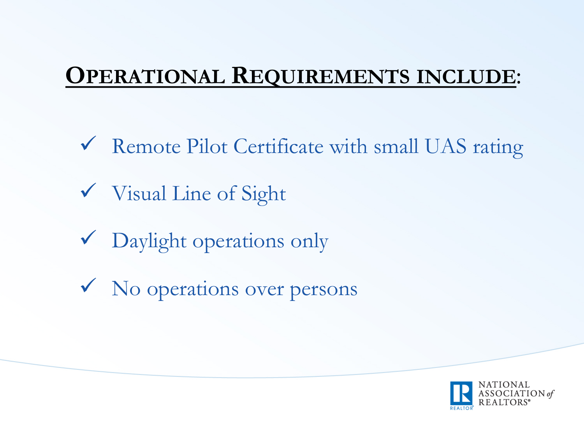#### **OPERATIONAL REQUIREMENTS INCLUDE**:

- $\checkmark$  Remote Pilot Certificate with small UAS rating
- $\checkmark$  Visual Line of Sight
- $\sqrt{\phantom{a}}$  Daylight operations only
- $\checkmark$  No operations over persons

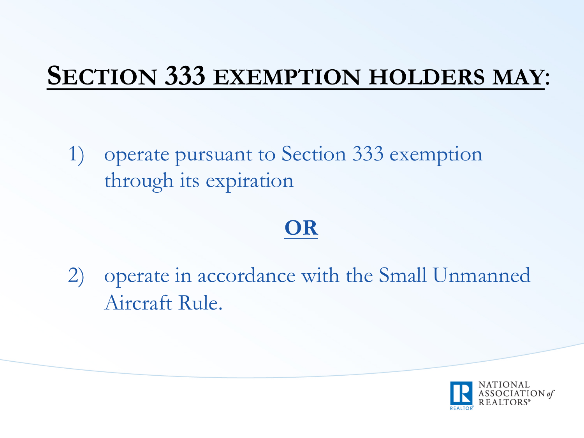## **SECTION 333 EXEMPTION HOLDERS MAY**:

1) operate pursuant to Section 333 exemption through its expiration

#### **OR**

2) operate in accordance with the Small Unmanned Aircraft Rule.

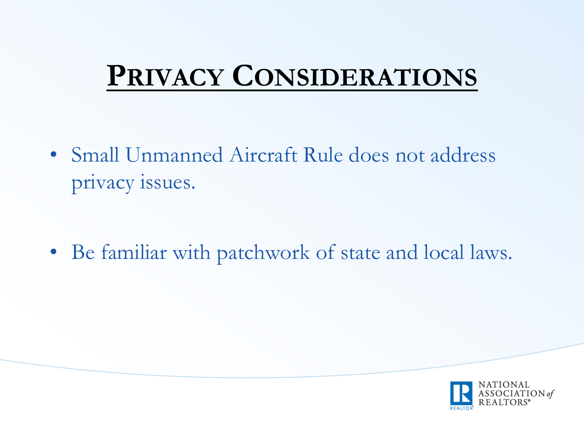## **PRIVACY CONSIDERATIONS**

• Small Unmanned Aircraft Rule does not address privacy issues.

• Be familiar with patchwork of state and local laws.

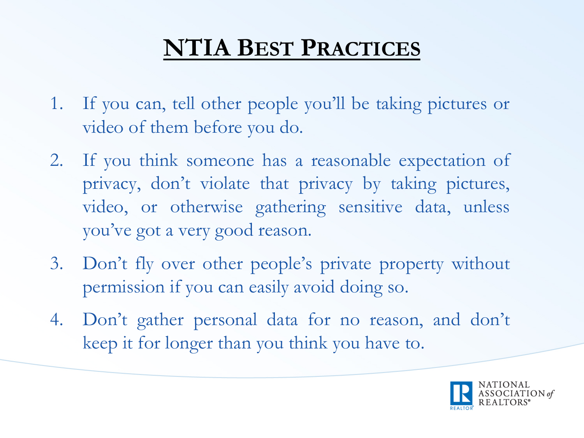## **NTIA BEST PRACTICES**

- 1. If you can, tell other people you'll be taking pictures or video of them before you do.
- 2. If you think someone has a reasonable expectation of privacy, don't violate that privacy by taking pictures, video, or otherwise gathering sensitive data, unless you've got a very good reason.
- 3. Don't fly over other people's private property without permission if you can easily avoid doing so.
- 4. Don't gather personal data for no reason, and don't keep it for longer than you think you have to.

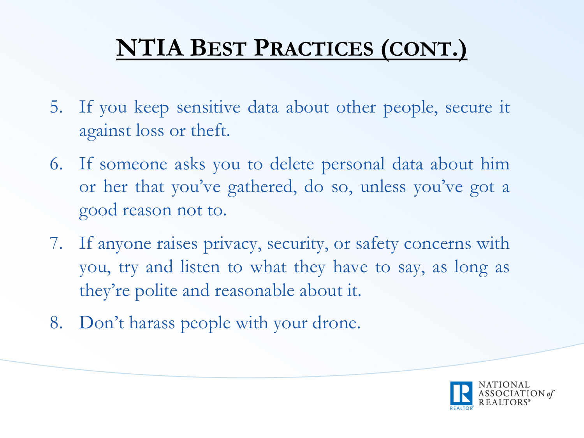## **NTIA BEST PRACTICES (CONT.)**

- 5. If you keep sensitive data about other people, secure it against loss or theft.
- 6. If someone asks you to delete personal data about him or her that you've gathered, do so, unless you've got a good reason not to.
- 7. If anyone raises privacy, security, or safety concerns with you, try and listen to what they have to say, as long as they're polite and reasonable about it.
- 8. Don't harass people with your drone.